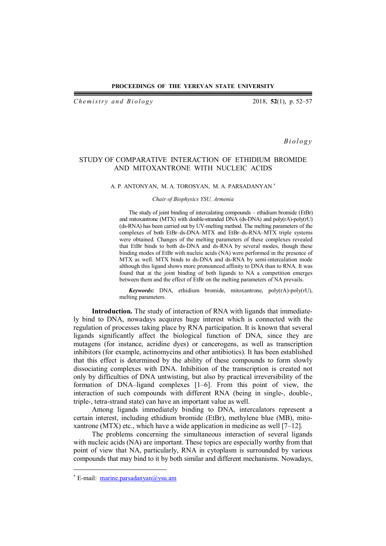#### **PROCEEDINGS OF THE YEREVAN STATE UNIVERSITY**

*Chemistry and Biology* 2018, **52**(1), p. 52–57

*B i o l o g y*

# STUDY OF COMPARATIVE INTERACTION OF ETHIDIUM BROMIDE AND MITOXANTRONE WITH NUCLEIC ACIDS

## A. P. ANTONYAN, M. A. TOROSYAN, M. A. PARSADANYAN

### *Chair of Biophysics YSU, Armenia*

The study of joint binding of intercalating compounds – ethidium bromide (EtBr) and mitoxantrone (MTX) with double-stranded DNA (ds-DNA) and poly(rA)-poly(rU) (ds-RNA) has been carried out by UV-melting method. The melting parameters of the complexes of both EtBr–ds-DNA–MTX and EtBr–ds-RNA–MTX triple systems were obtained. Changes of the melting parameters of these complexes revealed that EtBr binds to both ds-DNA and ds-RNA by several modes, though these binding modes of EtBr with nucleic acids (NA) were performed in the presence of MTX as well. MTX binds to ds-DNA and ds-RNA by semi-intercalation mode although this ligand shows more pronounced affinity to DNA than to RNA. It was found that at the joint binding of both ligands to NA a competition emerges between them and the effect of EtBr on the melting parameters of NA prevails.

*Keywords***:** DNA, ethidium bromide, mitoxantrone, poly(rA)-poly(rU), melting parameters.

**Introduction.** The study of interaction of RNA with ligands that immediately bind to DNA, nowadays acquires huge interest which is connected with the regulation of processes taking place by RNA participation. It is known that several ligands significantly affect the biological function of DNA, since they are mutagens (for instance, acridine dyes) or cancerogens, as well as transcription inhibitors (for example, actinomycins and other antibiotics). It has been established that this effect is determined by the ability of these compounds to form slowly dissociating complexes with DNA. Inhibition of the transcription is created not only by difficulties of DNA untwisting, but also by practical irreversibility of the formation of DNA–ligand complexes [1–6]. From this point of view, the interaction of such compounds with different RNA (being in single-, double-, triple-, tetra-strand state) can have an important value as well.

Among ligands immediately binding to DNA, intercalators represent a certain interest, including ethidium bromide (EtBr), methylene blue (MB), mitoxantrone (MTX) etc., which have a wide application in medicine as well  $[7-12]$ .

The problems concerning the simultaneous interaction of several ligands with nucleic acids (NA) are important. These topics are especially worthy from that point of view that NA, particularly, RNA in cytoplasm is surrounded by various compounds that may bind to it by both similar and different mechanisms. Nowadays,

 $\overline{a}$ 

 E-mail: marine.parsadanyan@ysu.am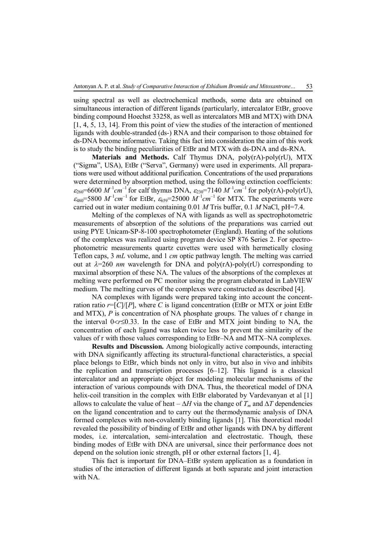using spectral as well as electrochemical methods, some data are obtained on simultaneous interaction of different ligands (particularly, intercalator EtBr, groove binding compound Hoechst 33258, as well as intercalators MB and MTX) with DNA [1, 4, 5, 13, 14]. From this point of view the studies of the interaction of mentioned ligands with double-stranded (ds-) RNA and their comparison to those obtained for ds-DNA become informative. Taking this fact into consideration the aim of this work is to study the binding peculiarities of EtBr and MTX with ds-DNA and ds-RNA.

**Materials and Methods.** Calf Thymus DNA, poly(rA)-poly(rU), MTX ("Sigma", USA), EtBr ("Serva", Germany) were used in experiments. All preparations were used without additional purification. Concentrations of the used preparations were determined by absorption method, using the following extinction coefficients:  $\varepsilon_{260}$ =6600  $M^{-1}cm^{-1}$  for calf thymus DNA,  $\varepsilon_{230}$ =7140  $M^{-1}cm^{-1}$  for poly(rA)-poly(rU),  $\varepsilon_{480}$ =5800  $M^{-1}cm^{-1}$  for EtBr,  $\varepsilon_{659}$ =25000  $M^{-1}cm^{-1}$  for MTX. The experiments were carried out in water medium containing 0.01 *M* Tris buffer, 0.1 *M* NaCl, pH=7.4.

Melting of the complexes of NA with ligands as well as spectrophotometric measurements of absorption of the solutions of the preparations was carried out using PYE Unicam-SP-8-100 spectrophotometer (England). Heating of the solutions of the complexes was realized using program device SP 876 Series 2. For spectrophotometric measurements quartz cuvettes were used with hermetically closing Teflon caps, 3 *mL* volume, and 1 *cm* optic pathway length. The melting was carried out at  $\lambda = 260$  *nm* wavelength for DNA and poly(rA)-poly(rU) corresponding to maximal absorption of these NA. The values of the absorptions of the complexes at melting were performed on PC monitor using the program elaborated in LabVIEW medium. The melting curves of the complexes were constructed as described [4].

NA complexes with ligands were prepared taking into account the concentration ratio  $r=[C]/[P]$ , where C is ligand concentration (EtBr or MTX or joint EtBr and MTX), *P* is concentration of NA phosphate groups. The values of r change in the interval  $0 < r \leq 0.33$ . In the case of EtBr and MTX joint binding to NA, the concentration of each ligand was taken twice less to prevent the similarity of the values of r with those values corresponding to EtBr–NA and MTX–NA complexes.

**Results and Discussion.** Among biologically active compounds, interacting with DNA significantly affecting its structural-functional characteristics, a special place belongs to EtBr, which binds not only in vitro, but also in vivo and inhibits the replication and transcription processes [6–12]. This ligand is a classical intercalator and an appropriate object for modeling molecular mechanisms of the interaction of various compounds with DNA. Thus, the theoretical model of DNA helix-coil transition in the complex with EtBr elaborated by Vardevanyan et al [1] allows to calculate the value of heat –  $\Delta H$  via the change of  $T_m$  and  $\Delta T$  dependencies on the ligand concentration and to carry out the thermodynamic analysis of DNA formed complexes with non-covalently binding ligands [1]. This theoretical model revealed the possibility of binding of EtBr and other ligands with DNA by different modes, i.e. intercalation, semi-intercalation and electrostatic. Though, these binding modes of EtBr with DNA are universal, since their performance does not depend on the solution ionic strength, pH or other external factors [1, 4].

This fact is important for DNA–EtBr system application as a foundation in studies of the interaction of different ligands at both separate and joint interaction with NA.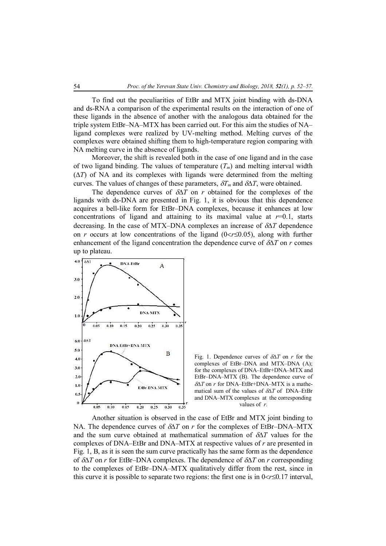To find out the peculiarities of EtBr and MTX joint binding with ds-DNA and ds-RNA a comparison of the experimental results on the interaction of one of these ligands in the absence of another with the analogous data obtained for the triple system EtBr–NA–MTX has been carried out. For this aim the studies of NA– ligand complexes were realized by UV-melting method. Melting curves of the complexes were obtained shifting them to high-temperature region comparing with NA melting curve in the absence of ligands.

Moreover, the shift is revealed both in the case of one ligand and in the case of two ligand binding. The values of temperature  $(T_m)$  and melting interval width  $(\Delta T)$  of NA and its complexes with ligands were determined from the melting curves. The values of changes of these parameters,  $\delta T_m$  and  $\delta \Delta T$ , were obtained.

The dependence curves of  $\delta \Delta T$  on *r* obtained for the complexes of the ligands with ds-DNA are presented in Fig. 1, it is obvious that this dependence acquires a bell-like form for EtBr–DNA complexes, because it enhances at low concentrations of ligand and attaining to its maximal value at  $r=0.1$ , starts decreasing. In the case of MTX–DNA complexes an increase of  $\delta \Delta T$  dependence on *r* occurs at low concentrations of the ligand  $(0 < r \le 0.05)$ , along with further enhancement of the ligand concentration the dependence curve of  $\delta \Delta T$  on *r* comes up to plateau.



Fig. 1. Dependence curves of  $\delta \Delta T$  on *r* for the complexes of EtBr–DNA and MTX–DNA (A); for the complexes of DNA–EtBr+DNA–MTX and EtBr–DNA–MTX (B). The dependence curve of  $\delta \Delta T$  on *r* for DNA–EtBr+DNA–MTX is a mathematical sum of the values of  $\delta \Delta T$  of DNA–EtBr and DNA–MTX complexes at the corresponding values of *r*.

Another situation is observed in the case of EtBr and MTX joint binding to NA. The dependence curves of  $\delta \Delta T$  on *r* for the complexes of EtBr–DNA–MTX and the sum curve obtained at mathematical summation of  $\delta \Delta T$  values for the complexes of DNA–EtBr and DNA–MTX at respective values of *r* are presented in Fig. 1, B, as it is seen the sum curve practically has the same form as the dependence of  $\delta \Delta T$  on *r* for EtBr–DNA complexes. The dependence of  $\delta \Delta T$  on *r* corresponding to the complexes of EtBr*–*DNA–MTX qualitatively differ from the rest, since in this curve it is possible to separate two regions: the first one is in  $0 < r \leq 0.17$  interval,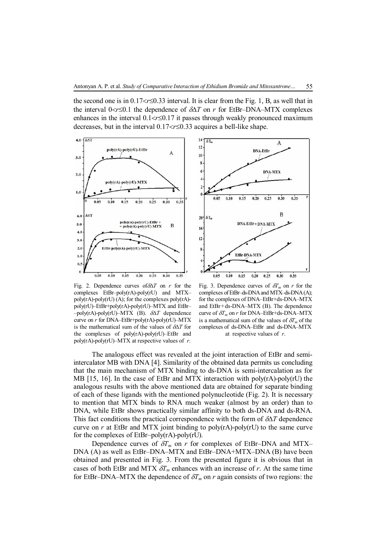the second one is in  $0.17 < r \le 0.33$  interval. It is clear from the Fig. 1, B, as well that in the interval  $0 < r \leq 0.1$  the dependence of  $\delta \Delta T$  on *r* for EtBr–DNA–MTX complexes enhances in the interval  $0.1 < r \leq 0.17$  it passes through weakly pronounced maximum decreases, but in the interval  $0.17 < r \le 0.33$  acquires a bell-like shape.



Fig. 2. Dependence curves of  $\delta \Delta T$  on *r* for the complexes EtBr–poly(rA)-poly(rU) and MTX– poly(rA)-poly(rU) (A); for the complexes poly(rA) poly(rU)–EtBr+poly(rA)-poly(rU)–MTX and EtBr–  $-poly(rA)-poly(rU)-MTX$  (B).  $\delta\Delta T$  dependence curve on *r* for DNA–EtBr+poly(rA)-poly(rU)–MTX is the mathematical sum of the values of  $\delta \Delta T$  for the complexes of poly(rA)-poly(rU)–EtBr and poly(rA)-poly(rU)–MTX at respective values of *r*.



Fig. 3. Dependence curves of  $\delta T_m$  on *r* for the complexes of EtBr–ds-DNA and MTX–ds-DNA (A); for the complexes of DNA–EtBr+ds-DNA–MTX and EtBr+ds-DNA–MTX (B). The dependence curve of  $\delta T_m$  on *r* for DNA–EtBr+ds-DNA–MTX is a mathematical sum of the values of  $\delta T_m$  of the complexes of ds-DNA–EtBr and ds-DNA–MTX at respective values of *r*.

The analogous effect was revealed at the joint interaction of EtBr and semiintercalator MB with DNA [4]. Similarity of the obtained data permits us concluding that the main mechanism of MTX binding to ds-DNA is semi-intercalation as for MB [15, 16]. In the case of EtBr and MTX interaction with poly(rA)-poly(rU) the analogous results with the above mentioned data are obtained for separate binding of each of these ligands with the mentioned polynucleotide (Fig. 2). It is necessary to mention that MTX binds to RNA much weaker (almost by an order) than to DNA, while EtBr shows practically similar affinity to both ds-DNA and ds-RNA. This fact conditions the practical correspondence with the form of  $\delta \Delta T$  dependence curve on  $r$  at EtBr and MTX joint binding to  $poly(rA)$ -poly(rU) to the same curve for the complexes of EtBr–poly(rA)-poly(rU).

Dependence curves of  $\delta T_m$  on *r* for complexes of EtBr–DNA and MTX– DNA (A) as well as EtBr–DNA–MTX and EtBr–DNA+MTX–DNA (B) have been obtained and presented in Fig. 3. From the presented figure it is obvious that in cases of both EtBr and MTX  $\delta T_m$  enhances with an increase of *r*. At the same time for EtBr–DNA–MTX the dependence of  $\delta T_m$  on *r* again consists of two regions: the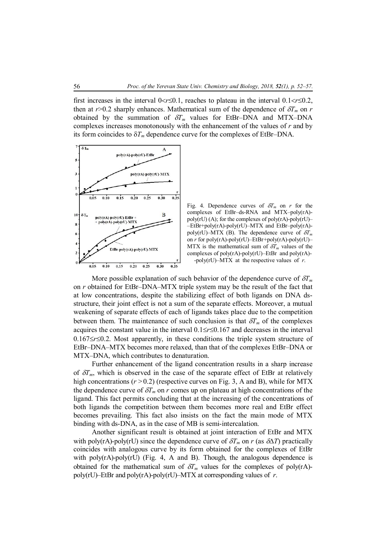first increases in the interval  $0 < r \leq 0.1$ , reaches to plateau in the interval  $0.1 < r \leq 0.2$ , then at  $r > 0.2$  sharply enhances. Mathematical sum of the dependence of  $\delta T_m$  on *r* obtained by the summation of  $\delta T_m$  values for EtBr–DNA and MTX–DNA complexes increases monotonously with the enhancement of the values of *r* and by its form coincides to  $\delta T_m$  dependence curve for the complexes of EtBr–DNA.



Fig. 4. Dependence curves of  $\delta T_m$  on *r* for the complexes of EtBr–ds-RNA and MTX–poly(rA) poly(rU) (A); for the complexes of poly(rA)-poly(rU)– –EtBr+poly(rA)-poly(rU)–MTX and EtBr–poly(rA) poly(rU)–MTX (B). The dependence curve of  $\delta T_m$ on *r* for poly(rA)-poly(rU)–EtBr+poly(rA)-poly(rU)– MTX is the mathematical sum of  $\delta T_m$  values of the complexes of  $poly(rA)$ -poly $(rU)$ –EtBr and  $poly(rA)$ --poly(rU)–MTX at the respective values of *r*.

More possible explanation of such behavior of the dependence curve of  $\delta T_m$ on *r* obtained for EtBr–DNA–MTX triple system may be the result of the fact that at low concentrations, despite the stabilizing effect of both ligands on DNA dsstructure, their joint effect is not a sum of the separate effects. Moreover, a mutual weakening of separate effects of each of ligands takes place due to the competition between them. The maintenance of such conclusion is that  $\delta T_m$  of the complexes acquires the constant value in the interval  $0.1 \le r \le 0.167$  and decreases in the interval  $0.167 \le r \le 0.2$ . Most apparently, in these conditions the triple system structure of EtBr–DNA–MTX becomes more relaxed, than that of the complexes EtBr–DNA or MTX–DNA, which contributes to denaturation.

Further enhancement of the ligand concentration results in a sharp increase of  $\delta T_m$ , which is observed in the case of the separate effect of EtBr at relatively high concentrations ( $r > 0.2$ ) (respective curves on Fig. 3, A and B), while for MTX the dependence curve of  $\delta T_m$  on *r* comes up on plateau at high concentrations of the ligand. This fact permits concluding that at the increasing of the concentrations of both ligands the competition between them becomes more real and EtBr effect becomes prevailing. This fact also insists on the fact the main mode of MTX binding with ds-DNA, as in the case of MB is semi-intercalation.

Another significant result is obtained at joint interaction of EtBr and MTX with poly(rA)-poly(rU) since the dependence curve of  $\delta T_m$  on *r* (as  $\delta \Delta T$ ) practically coincides with analogous curve by its form obtained for the complexes of EtBr with poly(rA)-poly(rU) (Fig. 4, A and B). Though, the analogous dependence is obtained for the mathematical sum of  $\delta T_m$  values for the complexes of poly(rA)poly(rU)–EtBr and poly(rA)-poly(rU)–MTX at corresponding values of *r*.